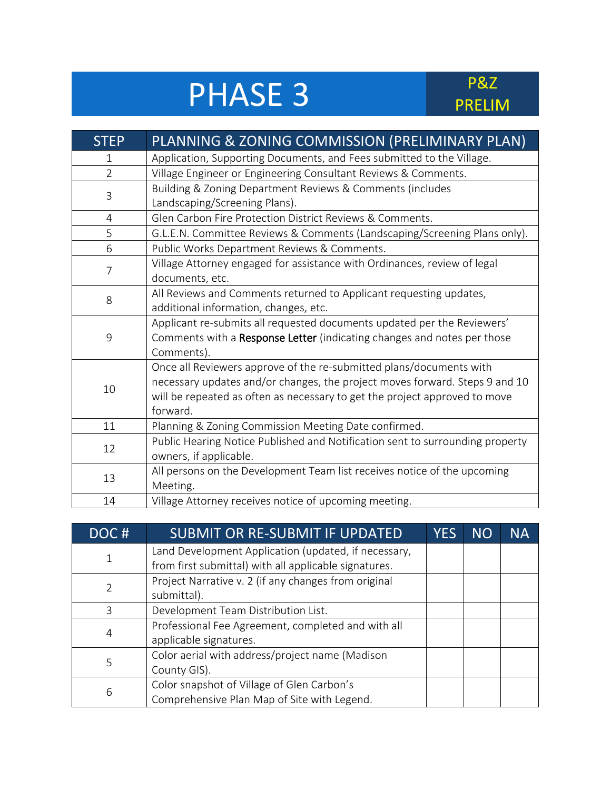## PHASE 3

## PRELIM

| <b>STEP</b>    | PLANNING & ZONING COMMISSION (PRELIMINARY PLAN)                               |  |
|----------------|-------------------------------------------------------------------------------|--|
| 1              | Application, Supporting Documents, and Fees submitted to the Village.         |  |
| $\overline{2}$ | Village Engineer or Engineering Consultant Reviews & Comments.                |  |
| 3              | Building & Zoning Department Reviews & Comments (includes                     |  |
|                | Landscaping/Screening Plans).                                                 |  |
| $\overline{4}$ | Glen Carbon Fire Protection District Reviews & Comments.                      |  |
| 5              | G.L.E.N. Committee Reviews & Comments (Landscaping/Screening Plans only).     |  |
| 6              | Public Works Department Reviews & Comments.                                   |  |
|                | Village Attorney engaged for assistance with Ordinances, review of legal      |  |
| 7              | documents, etc.                                                               |  |
| 8              | All Reviews and Comments returned to Applicant requesting updates,            |  |
|                | additional information, changes, etc.                                         |  |
|                | Applicant re-submits all requested documents updated per the Reviewers'       |  |
| 9              | Comments with a Response Letter (indicating changes and notes per those       |  |
|                | Comments).                                                                    |  |
|                | Once all Reviewers approve of the re-submitted plans/documents with           |  |
| 10             | necessary updates and/or changes, the project moves forward. Steps 9 and 10   |  |
|                | will be repeated as often as necessary to get the project approved to move    |  |
|                | forward.                                                                      |  |
| 11             | Planning & Zoning Commission Meeting Date confirmed.                          |  |
| 12             | Public Hearing Notice Published and Notification sent to surrounding property |  |
|                | owners, if applicable.                                                        |  |
| 13             | All persons on the Development Team list receives notice of the upcoming      |  |
|                | Meeting.                                                                      |  |
| 14             | Village Attorney receives notice of upcoming meeting.                         |  |

| DOC# | <b>SUBMIT OR RE-SUBMIT IF UPDATED</b>                 | <b>YES</b> | <b>NO</b> | <b>NA</b> |
|------|-------------------------------------------------------|------------|-----------|-----------|
|      | Land Development Application (updated, if necessary,  |            |           |           |
|      | from first submittal) with all applicable signatures. |            |           |           |
|      | Project Narrative v. 2 (if any changes from original  |            |           |           |
|      | submittal).                                           |            |           |           |
| 3    | Development Team Distribution List.                   |            |           |           |
| 4    | Professional Fee Agreement, completed and with all    |            |           |           |
|      | applicable signatures.                                |            |           |           |
| 5    | Color aerial with address/project name (Madison       |            |           |           |
|      | County GIS).                                          |            |           |           |
| 6    | Color snapshot of Village of Glen Carbon's            |            |           |           |
|      | Comprehensive Plan Map of Site with Legend.           |            |           |           |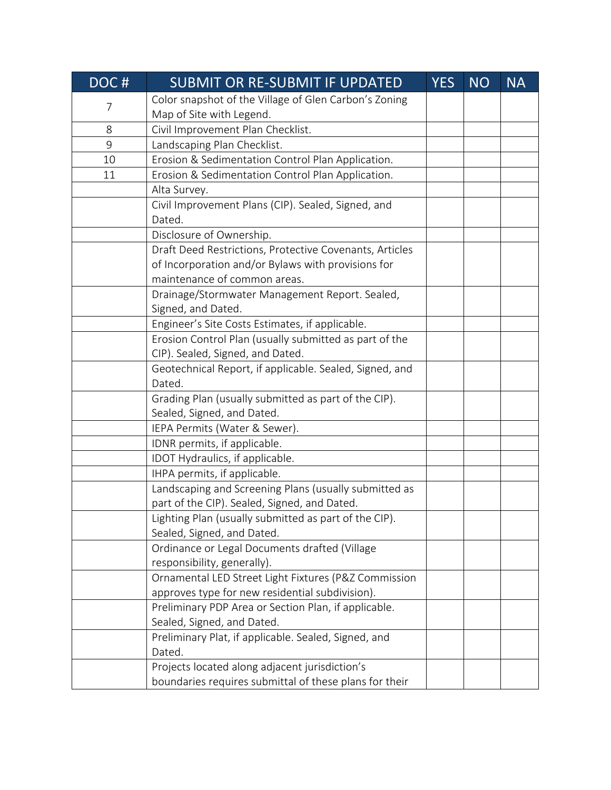| DOC# | SUBMIT OR RE-SUBMIT IF UPDATED                          | <b>YES</b> | <b>NO</b> | <b>NA</b> |
|------|---------------------------------------------------------|------------|-----------|-----------|
|      | Color snapshot of the Village of Glen Carbon's Zoning   |            |           |           |
| 7    | Map of Site with Legend.                                |            |           |           |
| 8    | Civil Improvement Plan Checklist.                       |            |           |           |
| 9    | Landscaping Plan Checklist.                             |            |           |           |
| 10   | Erosion & Sedimentation Control Plan Application.       |            |           |           |
| 11   | Erosion & Sedimentation Control Plan Application.       |            |           |           |
|      | Alta Survey.                                            |            |           |           |
|      | Civil Improvement Plans (CIP). Sealed, Signed, and      |            |           |           |
|      | Dated.                                                  |            |           |           |
|      | Disclosure of Ownership.                                |            |           |           |
|      | Draft Deed Restrictions, Protective Covenants, Articles |            |           |           |
|      | of Incorporation and/or Bylaws with provisions for      |            |           |           |
|      | maintenance of common areas.                            |            |           |           |
|      | Drainage/Stormwater Management Report. Sealed,          |            |           |           |
|      | Signed, and Dated.                                      |            |           |           |
|      | Engineer's Site Costs Estimates, if applicable.         |            |           |           |
|      | Erosion Control Plan (usually submitted as part of the  |            |           |           |
|      | CIP). Sealed, Signed, and Dated.                        |            |           |           |
|      | Geotechnical Report, if applicable. Sealed, Signed, and |            |           |           |
|      | Dated.                                                  |            |           |           |
|      | Grading Plan (usually submitted as part of the CIP).    |            |           |           |
|      | Sealed, Signed, and Dated.                              |            |           |           |
|      | IEPA Permits (Water & Sewer).                           |            |           |           |
|      | IDNR permits, if applicable.                            |            |           |           |
|      | IDOT Hydraulics, if applicable.                         |            |           |           |
|      | IHPA permits, if applicable.                            |            |           |           |
|      | Landscaping and Screening Plans (usually submitted as   |            |           |           |
|      | part of the CIP). Sealed, Signed, and Dated.            |            |           |           |
|      | Lighting Plan (usually submitted as part of the CIP)    |            |           |           |
|      | Sealed, Signed, and Dated.                              |            |           |           |
|      | Ordinance or Legal Documents drafted (Village           |            |           |           |
|      | responsibility, generally).                             |            |           |           |
|      | Ornamental LED Street Light Fixtures (P&Z Commission    |            |           |           |
|      | approves type for new residential subdivision).         |            |           |           |
|      | Preliminary PDP Area or Section Plan, if applicable.    |            |           |           |
|      | Sealed, Signed, and Dated.                              |            |           |           |
|      | Preliminary Plat, if applicable. Sealed, Signed, and    |            |           |           |
|      | Dated.                                                  |            |           |           |
|      | Projects located along adjacent jurisdiction's          |            |           |           |
|      | boundaries requires submittal of these plans for their  |            |           |           |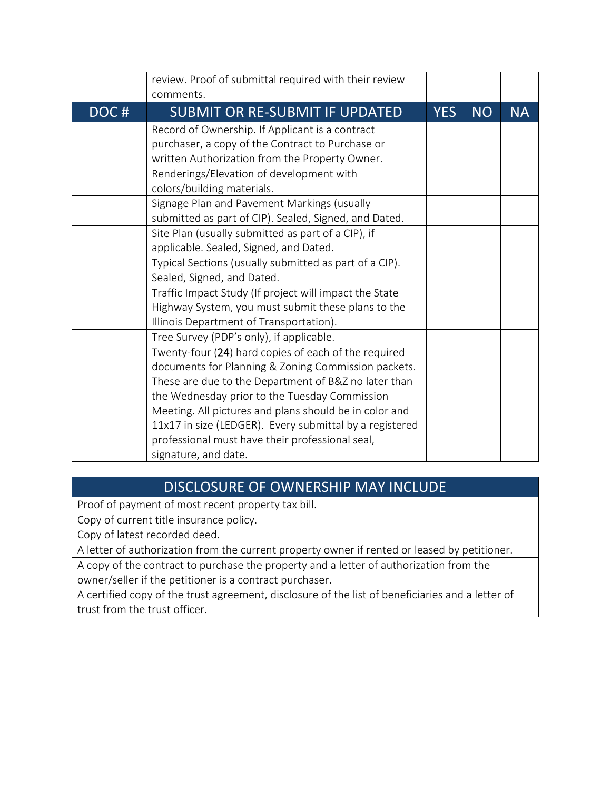|      | review. Proof of submittal required with their review<br>comments. |            |           |           |
|------|--------------------------------------------------------------------|------------|-----------|-----------|
| DOC# | <b>SUBMIT OR RE-SUBMIT IF UPDATED</b>                              | <b>YES</b> | <b>NO</b> | <b>NA</b> |
|      | Record of Ownership. If Applicant is a contract                    |            |           |           |
|      | purchaser, a copy of the Contract to Purchase or                   |            |           |           |
|      | written Authorization from the Property Owner.                     |            |           |           |
|      | Renderings/Elevation of development with                           |            |           |           |
|      | colors/building materials.                                         |            |           |           |
|      | Signage Plan and Pavement Markings (usually                        |            |           |           |
|      | submitted as part of CIP). Sealed, Signed, and Dated.              |            |           |           |
|      | Site Plan (usually submitted as part of a CIP), if                 |            |           |           |
|      | applicable. Sealed, Signed, and Dated.                             |            |           |           |
|      | Typical Sections (usually submitted as part of a CIP).             |            |           |           |
|      | Sealed, Signed, and Dated.                                         |            |           |           |
|      | Traffic Impact Study (If project will impact the State             |            |           |           |
|      | Highway System, you must submit these plans to the                 |            |           |           |
|      | Illinois Department of Transportation).                            |            |           |           |
|      | Tree Survey (PDP's only), if applicable.                           |            |           |           |
|      | Twenty-four (24) hard copies of each of the required               |            |           |           |
|      | documents for Planning & Zoning Commission packets.                |            |           |           |
|      | These are due to the Department of B&Z no later than               |            |           |           |
|      | the Wednesday prior to the Tuesday Commission                      |            |           |           |
|      | Meeting. All pictures and plans should be in color and             |            |           |           |
|      | 11x17 in size (LEDGER). Every submittal by a registered            |            |           |           |
|      | professional must have their professional seal,                    |            |           |           |
|      | signature, and date.                                               |            |           |           |

## DISCLOSURE OF OWNERSHIP MAY INCLUDE

Proof of payment of most recent property tax bill.

Copy of current title insurance policy.

Copy of latest recorded deed.

A letter of authorization from the current property owner if rented or leased by petitioner.

A copy of the contract to purchase the property and a letter of authorization from the owner/seller if the petitioner is a contract purchaser.

A certified copy of the trust agreement, disclosure of the list of beneficiaries and a letter of trust from the trust officer.